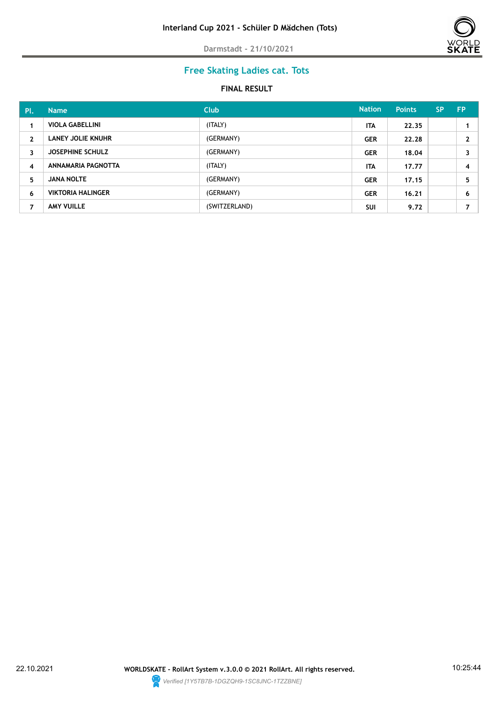

# **Free Skating Ladies cat. Tots**

| Pl.          | <b>Name</b>              | <b>Club</b>   | <b>Nation</b> | <b>Points</b> | <b>SP</b> | <b>FP</b> |
|--------------|--------------------------|---------------|---------------|---------------|-----------|-----------|
| 1            | <b>VIOLA GABELLINI</b>   | (ITALY)       | <b>ITA</b>    | 22.35         |           |           |
| $\mathbf{2}$ | LANEY JOLIE KNUHR        | (GERMANY)     | <b>GER</b>    | 22.28         |           | 2         |
| 3            | <b>JOSEPHINE SCHULZ</b>  | (GERMANY)     | <b>GER</b>    | 18.04         |           | 3         |
| 4            | ANNAMARIA PAGNOTTA       | (ITALY)       | <b>ITA</b>    | 17.77         |           | 4         |
| 5            | <b>JANA NOLTE</b>        | (GERMANY)     | <b>GER</b>    | 17.15         |           | 5         |
| 6            | <b>VIKTORIA HALINGER</b> | (GERMANY)     | <b>GER</b>    | 16.21         |           | 6         |
| 7            | AMY VUILLE               | (SWITZERLAND) | <b>SUI</b>    | 9.72          |           | ⇁         |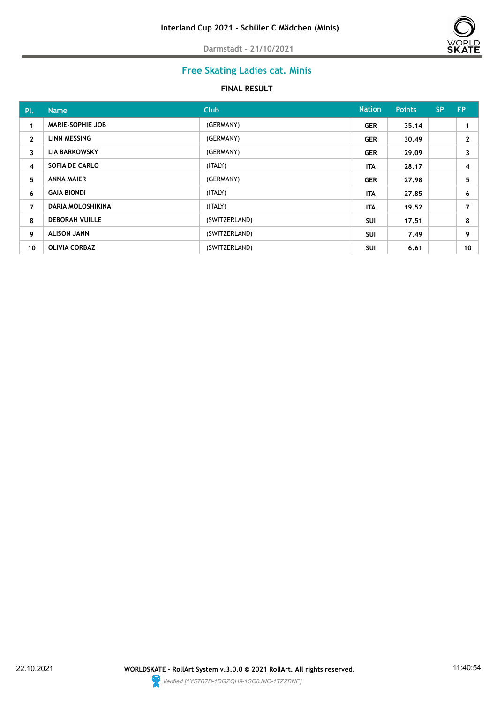

# **Free Skating Ladies cat. Minis**

| Pl.          | <b>Name</b>             | <b>Club</b>   | <b>Nation</b> | <b>Points</b> | <b>SP</b> | <b>FP</b>    |
|--------------|-------------------------|---------------|---------------|---------------|-----------|--------------|
| 1            | <b>MARIE-SOPHIE JOB</b> | (GERMANY)     | <b>GER</b>    | 35.14         |           |              |
| $\mathbf{2}$ | <b>LINN MESSING</b>     | (GERMANY)     | <b>GER</b>    | 30,49         |           | $\mathbf{2}$ |
| 3            | <b>LIA BARKOWSKY</b>    | (GERMANY)     | <b>GER</b>    | 29.09         |           | 3            |
| 4            | SOFIA DE CARLO          | (ITALY)       | <b>ITA</b>    | 28.17         |           | 4            |
| 5            | <b>ANNA MAIER</b>       | (GERMANY)     | <b>GER</b>    | 27.98         |           | 5            |
| 6            | <b>GAIA BIONDI</b>      | (ITALY)       | <b>ITA</b>    | 27,85         |           | 6            |
| 7            | DARIA MOLOSHIKINA       | (ITALY)       | ITA           | 19.52         |           | 7            |
| 8            | <b>DEBORAH VUILLE</b>   | (SWITZERLAND) | <b>SUI</b>    | 17.51         |           | 8            |
| 9            | <b>ALISON JANN</b>      | (SWITZERLAND) | <b>SUI</b>    | 7.49          |           | 9            |
| 10           | <b>OLIVIA CORBAZ</b>    | (SWITZERLAND) | <b>SUI</b>    | 6.61          |           | 10           |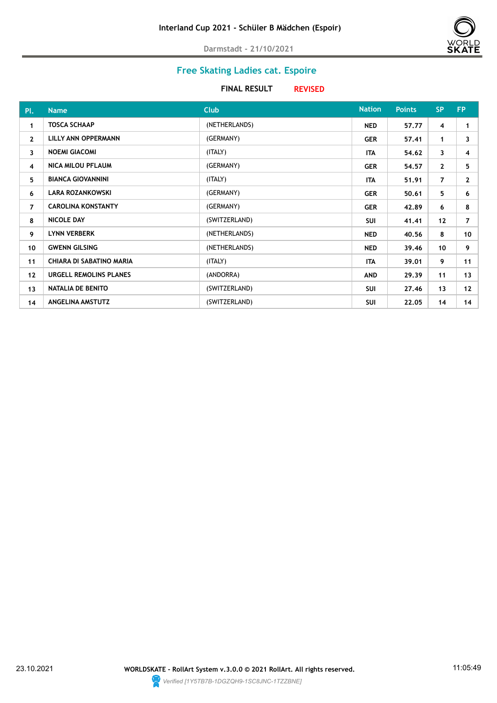

## **Free Skating Ladies cat. Espoire**

| Pl.            | <b>Name</b>                | Club          | <b>Nation</b> | <b>Points</b> | <b>SP</b>      | <b>FP</b>      |
|----------------|----------------------------|---------------|---------------|---------------|----------------|----------------|
| 1              | <b>TOSCA SCHAAP</b>        | (NETHERLANDS) | <b>NED</b>    | 57.77         | 4              |                |
| $\mathbf{2}$   | <b>LILLY ANN OPPERMANN</b> | (GERMANY)     | <b>GER</b>    | 57,41         | $\mathbf{1}$   | 3              |
| 3              | <b>NOEMI GIACOMI</b>       | (ITALY)       | ITA           | 54.62         | $\mathbf{3}$   | 4              |
| 4              | <b>NICA MILOU PFLAUM</b>   | (GERMANY)     | <b>GER</b>    | 54.57         | $\mathbf{2}$   | 5              |
| 5.             | <b>BIANCA GIOVANNINI</b>   | (ITALY)       | ITA           | 51.91         | $\overline{7}$ | $\mathbf{2}$   |
| 6              | LARA ROZANKOWSKI           | (GERMANY)     | <b>GER</b>    | 50.61         | 5              | 6              |
| $\overline{7}$ | <b>CAROLINA KONSTANTY</b>  | (GERMANY)     | <b>GER</b>    | 42.89         | 6              | 8              |
| 8              | NICOLE DAY                 | (SWITZERLAND) | <b>SUI</b>    | 41.41         | 12             | $\overline{7}$ |
| 9              | <b>LYNN VERBERK</b>        | (NETHERLANDS) | <b>NED</b>    | 40.56         | 8              | 10             |
| 10             | <b>GWENN GILSING</b>       | (NETHERLANDS) | <b>NED</b>    | 39,46         | 10             | 9              |
| 11             | CHIARA DI SABATINO MARIA   | (ITALY)       | <b>ITA</b>    | 39.01         | 9              | 11             |
| 12             | URGELL REMOLINS PLANES     | (ANDORRA)     | AND           | 29.39         | 11             | 13             |
| 13             | NATALIA DE BENITO          | (SWITZERLAND) | <b>SUI</b>    | 27.46         | 13             | 12             |
| 14             | <b>ANGELINA AMSTUTZ</b>    | (SWITZERLAND) | <b>SUI</b>    | 22.05         | 14             | 14             |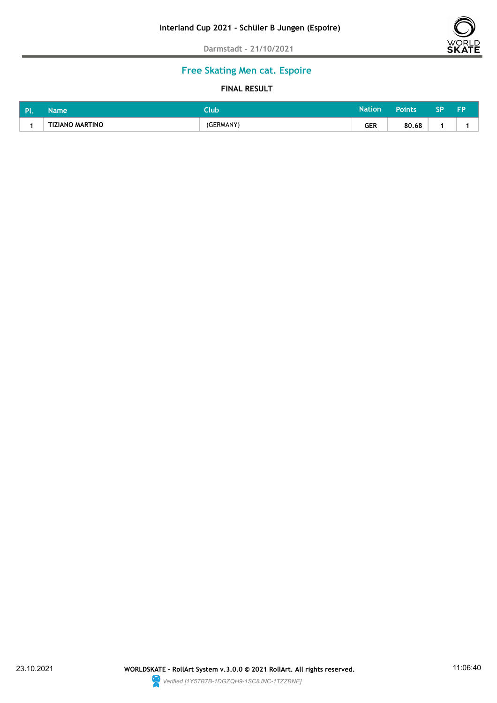

# **Free Skating Men cat. Espoire**

| יום י | Name                   | -1<br>Jlub | Nation               | Points | e n<br>- | FD |
|-------|------------------------|------------|----------------------|--------|----------|----|
|       | <b>TIZIANO MARTINO</b> | (GERMANY)  | GER<br>$\sim$ $\sim$ | 80.68  |          |    |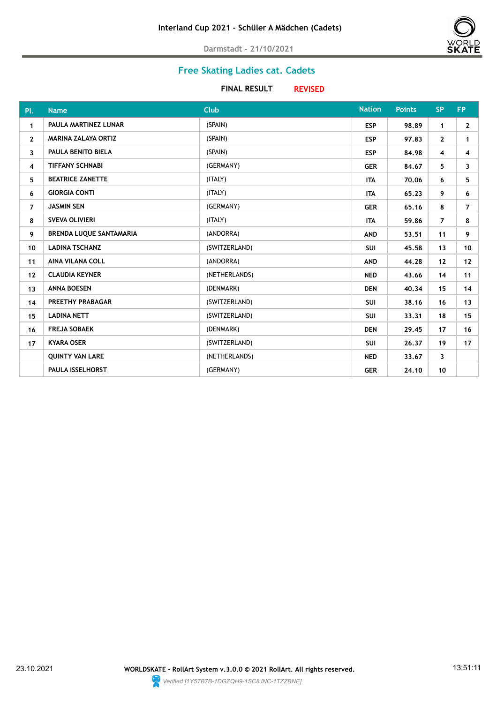

## **Free Skating Ladies cat. Cadets**

| Pl.            | <b>Name</b>                    | <b>Club</b>   | <b>Nation</b> | <b>Points</b> | <b>SP</b>      | <b>FP</b>       |
|----------------|--------------------------------|---------------|---------------|---------------|----------------|-----------------|
| $\mathbf{1}$   | PAULA MARTINEZ LUNAR           | (SPAIN)       | <b>ESP</b>    | 98.89         | $\mathbf{1}$   | $\mathbf{2}$    |
| $\mathbf{2}$   | <b>MARINA ZALAYA ORTIZ</b>     | (SPAIN)       | <b>ESP</b>    | 97.83         | $\mathbf{2}$   | 1               |
| 3              | PAULA BENITO BIELA             | (SPAIN)       | <b>ESP</b>    | 84.98         | $\overline{4}$ | 4               |
| $\overline{4}$ | <b>TIFFANY SCHNABI</b>         | (GERMANY)     | <b>GER</b>    | 84.67         | 5              | 3               |
| 5.             | <b>BEATRICE ZANETTE</b>        | (ITALY)       | <b>ITA</b>    | 70.06         | 6              | 5               |
| 6              | <b>GIORGIA CONTI</b>           | (ITALY)       | <b>ITA</b>    | 65.23         | 9              | 6               |
| $\overline{7}$ | <b>JASMIN SEN</b>              | (GERMANY)     | <b>GER</b>    | 65.16         | 8              | $\overline{7}$  |
| 8              | <b>SVEVA OLIVIERI</b>          | (ITALY)       | <b>ITA</b>    | 59.86         | $\overline{7}$ | 8               |
| 9              | <b>BRENDA LUQUE SANTAMARIA</b> | (ANDORRA)     | <b>AND</b>    | 53.51         | 11             | 9               |
| 10             | <b>LADINA TSCHANZ</b>          | (SWITZERLAND) | <b>SUI</b>    | 45.58         | 13             | 10              |
| 11             | AINA VILANA COLL               | (ANDORRA)     | <b>AND</b>    | 44.28         | 12             | 12              |
| 12             | <b>CLAUDIA KEYNER</b>          | (NETHERLANDS) | <b>NED</b>    | 43.66         | 14             | 11              |
| 13             | <b>ANNA BOESEN</b>             | (DENMARK)     | <b>DEN</b>    | 40.34         | 15             | 14              |
| 14             | PREETHY PRABAGAR               | (SWITZERLAND) | <b>SUI</b>    | 38.16         | 16             | 13              |
| 15             | <b>LADINA NETT</b>             | (SWITZERLAND) | <b>SUI</b>    | 33,31         | 18             | 15              |
| 16             | <b>FREJA SOBAEK</b>            | (DENMARK)     | <b>DEN</b>    | 29.45         | 17             | 16              |
| 17             | <b>KYARA OSER</b>              | (SWITZERLAND) | <b>SUI</b>    | 26.37         | 19             | 17 <sup>2</sup> |
|                | <b>QUINTY VAN LARE</b>         | (NETHERLANDS) | <b>NED</b>    | 33.67         | $\mathbf{3}$   |                 |
|                | <b>PAULA ISSELHORST</b>        | (GERMANY)     | <b>GER</b>    | 24.10         | 10             |                 |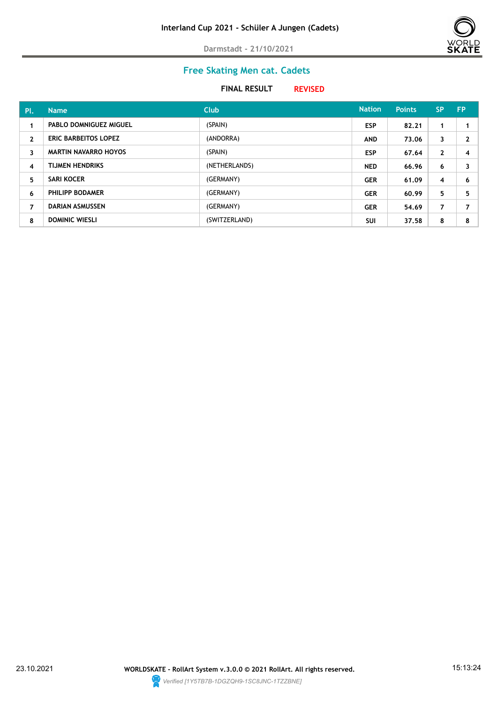

# **Free Skating Men cat. Cadets**

| Pl.          | <b>Name</b>                   | <b>Club</b>   | <b>Nation</b> | <b>Points</b> | <b>SP</b>    | <b>FP</b> |
|--------------|-------------------------------|---------------|---------------|---------------|--------------|-----------|
| 1            | <b>PABLO DOMNIGUEZ MIGUEL</b> | (SPAIN)       | <b>ESP</b>    | 82.21         |              |           |
| $\mathbf{2}$ | <b>ERIC BARBEITOS LOPEZ</b>   | (ANDORRA)     | <b>AND</b>    | 73.06         | 3            | 2         |
| 3            | <b>MARTIN NAVARRO HOYOS</b>   | (SPAIN)       | <b>ESP</b>    | 67.64         | $\mathbf{2}$ | 4         |
| 4            | <b>TIJMEN HENDRIKS</b>        | (NETHERLANDS) | <b>NED</b>    | 66.96         | 6            | 3         |
| 5            | <b>SARI KOCER</b>             | (GERMANY)     | <b>GER</b>    | 61.09         | 4            | 6         |
| 6            | PHILIPP BODAMER               | (GERMANY)     | <b>GER</b>    | 60.99         | 5.           | 5.        |
| 7            | <b>DARIAN ASMUSSEN</b>        | (GERMANY)     | <b>GER</b>    | 54.69         | 7            | 7         |
| 8            | <b>DOMINIC WIESLI</b>         | (SWITZERLAND) | SUI           | 37.58         | 8            | 8         |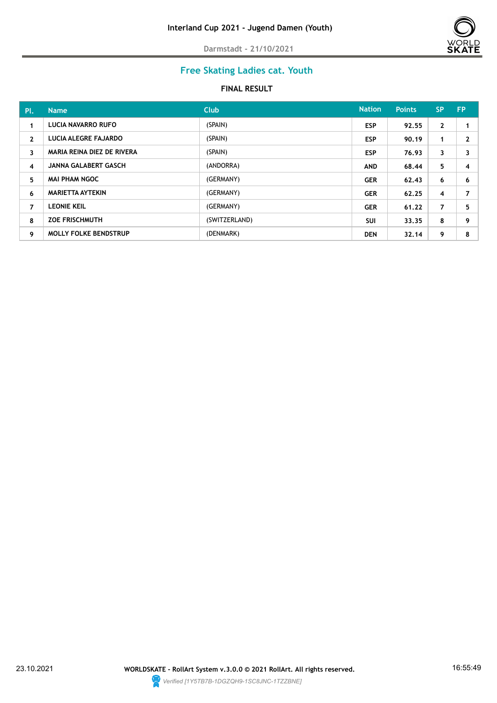

# **Free Skating Ladies cat. Youth**

| PI.          | <b>Name</b>                  | <b>Club</b>   | <b>Nation</b> | <b>Points</b> | <b>SP</b>      | <b>FP</b> |
|--------------|------------------------------|---------------|---------------|---------------|----------------|-----------|
| 1            | LUCIA NAVARRO RUFO           | (SPAIN)       | <b>ESP</b>    | 92.55         | $\mathbf{2}$   |           |
| $\mathbf{2}$ | <b>LUCIA ALEGRE FAJARDO</b>  | (SPAIN)       | <b>ESP</b>    | 90.19         | 1              | 2         |
| 3            | MARIA REINA DIEZ DE RIVERA   | (SPAIN)       | <b>ESP</b>    | 76.93         | 3              | 3         |
| 4            | <b>JANNA GALABERT GASCH</b>  | (ANDORRA)     | <b>AND</b>    | 68.44         | 5.             | 4         |
| 5            | MAI PHAM NGOC                | (GERMANY)     | <b>GER</b>    | 62.43         | 6              | 6         |
| 6            | MARIETTA AYTEKIN             | (GERMANY)     | <b>GER</b>    | 62.25         | 4              | 7         |
| 7            | <b>LEONIE KEIL</b>           | (GERMANY)     | <b>GER</b>    | 61.22         | $\overline{7}$ | 5         |
| 8            | <b>ZOE FRISCHMUTH</b>        | (SWITZERLAND) | <b>SUI</b>    | 33.35         | 8              | 9         |
| 9            | <b>MOLLY FOLKE BENDSTRUP</b> | (DENMARK)     | <b>DEN</b>    | 32.14         | 9              | 8         |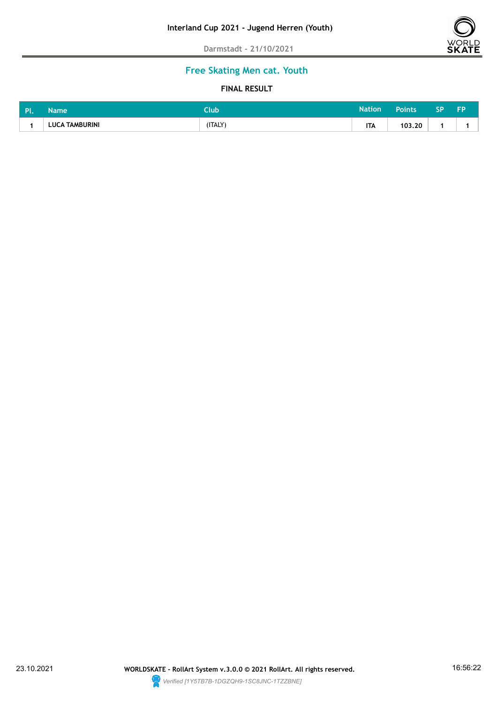

# **Free Skating Men cat. Youth**

| <b>DI</b> | Name                  | $\mathbf{C}$<br>∟lub | Nation     | <b>Points</b> | <b>SP</b> | <b>FP</b> |
|-----------|-----------------------|----------------------|------------|---------------|-----------|-----------|
|           | <b>LUCA TAMBURINI</b> | (ITALY)              | <b>ITA</b> | 103.20        |           |           |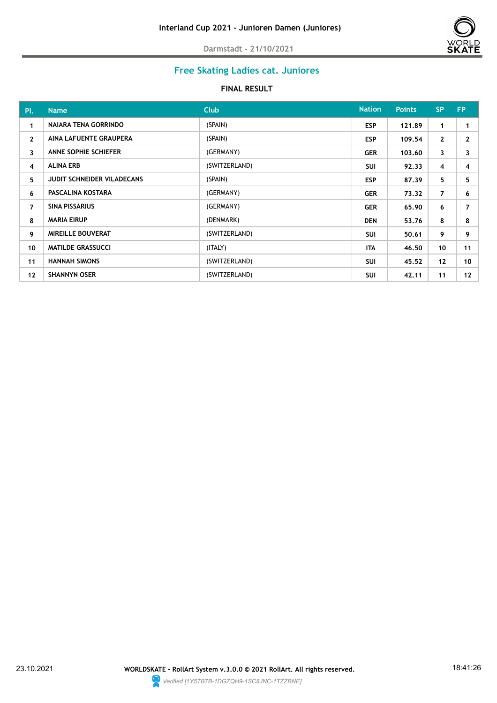

# **Free Skating Ladies cat. Juniores**

| Pl.            | <b>Name</b>                       | <b>Club</b>   | <b>Nation</b> | <b>Points</b> | <b>SP</b>      | <b>FP</b>         |
|----------------|-----------------------------------|---------------|---------------|---------------|----------------|-------------------|
| 1              | NAIARA TENA GORRINDO              | (SPAIN)       | <b>ESP</b>    | 121.89        | 1.             | 1                 |
| $\mathbf{2}$   | AINA LAFUENTE GRAUPERA            | (SPAIN)       | <b>ESP</b>    | 109.54        | $\mathbf{2}$   | $\mathbf{z}$      |
| 3              | ANNE SOPHIE SCHIEFER              | (GERMANY)     | <b>GER</b>    | 103.60        | 3              | 3                 |
| 4              | <b>ALINA ERB</b>                  | (SWITZERLAND) | <b>SUI</b>    | 92.33         | $\overline{4}$ | 4                 |
| 5.             | <b>JUDIT SCHNEIDER VILADECANS</b> | (SPAIN)       | <b>ESP</b>    | 87.39         | 5              | 5                 |
| 6              | PASCALINA KOSTARA                 | (GERMANY)     | <b>GER</b>    | 73.32         | $\overline{7}$ | 6                 |
| $\overline{7}$ | SINA PISSARIUS                    | (GERMANY)     | <b>GER</b>    | 65.90         | 6              | 7                 |
| 8              | <b>MARIA EIRUP</b>                | (DENMARK)     | <b>DEN</b>    | 53.76         | 8              | 8                 |
| 9              | <b>MIREILLE BOUVERAT</b>          | (SWITZERLAND) | <b>SUI</b>    | 50.61         | 9              | 9                 |
| 10             | <b>MATILDE GRASSUCCI</b>          | (ITALY)       | <b>ITA</b>    | 46.50         | 10             | 11                |
| 11             | <b>HANNAH SIMONS</b>              | (SWITZERLAND) | <b>SUI</b>    | 45.52         | 12             | 10                |
| 12             | <b>SHANNYN OSER</b>               | (SWITZERLAND) | <b>SUI</b>    | 42.11         | 11             | $12 \overline{ }$ |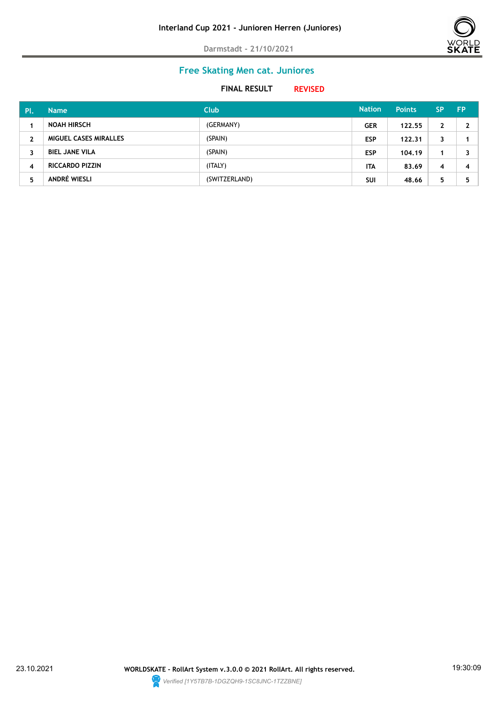

## **Free Skating Men cat. Juniores**

| -Pl.              | <b>Name</b>                  | <b>Club</b>   | <b>Nation</b> | <b>Points</b> | <b>SP</b> | <b>FP</b> |
|-------------------|------------------------------|---------------|---------------|---------------|-----------|-----------|
|                   | <b>NOAH HIRSCH</b>           | (GERMANY)     | <b>GER</b>    | 122.55        | າ<br>L    |           |
| $\mathbf{r}$<br>L | <b>MIGUEL CASES MIRALLES</b> | (SPAIN)       | <b>ESP</b>    | 122.31        |           |           |
| 3                 | <b>BIEL JANE VILA</b>        | (SPAIN)       | <b>ESP</b>    | 104.19        |           |           |
| 4                 | <b>RICCARDO PIZZIN</b>       | (ITALY)       | <b>ITA</b>    | 83.69         | 4         | 4         |
| 5                 | ANDRÉ WIESLI                 | (SWITZERLAND) | <b>SUI</b>    | 48.66         | 5         |           |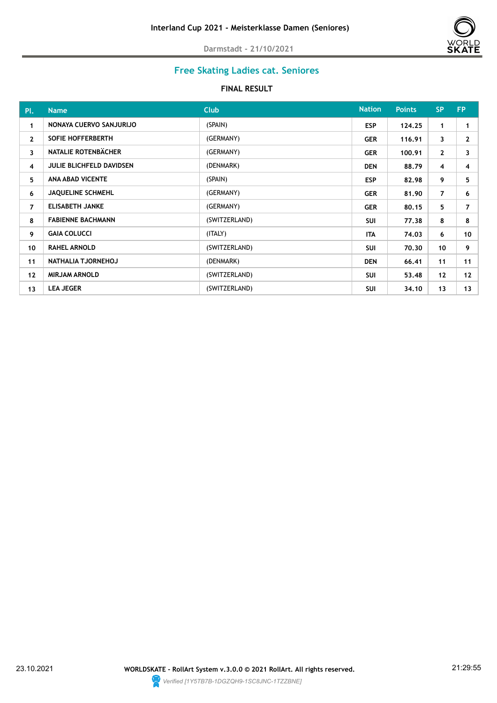

# **Free Skating Ladies cat. Seniores**

| Pl.            | <b>Name</b>                     | <b>Club</b>   | <b>Nation</b> | <b>Points</b> | <b>SP</b>      | <b>FP</b>    |
|----------------|---------------------------------|---------------|---------------|---------------|----------------|--------------|
| 1              | NONAYA CUERVO SANJURIJO         | (SPAIN)       | <b>ESP</b>    | 124.25        | 1              | 1            |
| $\overline{2}$ | <b>SOFIE HOFFERBERTH</b>        | (GERMANY)     | <b>GER</b>    | 116.91        | $\mathbf{3}$   | $\mathbf{z}$ |
| 3              | NATALIE ROTENBÄCHER             | (GERMANY)     | <b>GER</b>    | 100.91        | $\mathbf{2}$   | 3            |
| 4              | <b>JULIE BLICHFELD DAVIDSEN</b> | (DENMARK)     | <b>DEN</b>    | 88.79         | 4              | 4            |
| 5              | <b>ANA ABAD VICENTE</b>         | (SPAIN)       | <b>ESP</b>    | 82.98         | 9              | 5            |
| 6              | <b>JAQUELINE SCHMEHL</b>        | (GERMANY)     | <b>GER</b>    | 81.90         | $\overline{7}$ | 6            |
| $\overline{7}$ | <b>ELISABETH JANKE</b>          | (GERMANY)     | <b>GER</b>    | 80.15         | 5              | 7            |
| 8              | <b>FABIENNE BACHMANN</b>        | (SWITZERLAND) | <b>SUI</b>    | 77.38         | 8              | 8            |
| 9              | <b>GAIA COLUCCI</b>             | (ITALY)       | <b>ITA</b>    | 74.03         | 6              | 10           |
| 10             | <b>RAHEL ARNOLD</b>             | (SWITZERLAND) | <b>SUI</b>    | 70.30         | 10             | 9            |
| 11             | NATHALIA TJORNEHOJ              | (DENMARK)     | DEN           | 66.41         | 11             | 11           |
| 12             | <b>MIRJAM ARNOLD</b>            | (SWITZERLAND) | <b>SUI</b>    | 53,48         | 12             | 12           |
| 13             | <b>LEA JEGER</b>                | (SWITZERLAND) | <b>SUI</b>    | 34.10         | 13             | 13           |